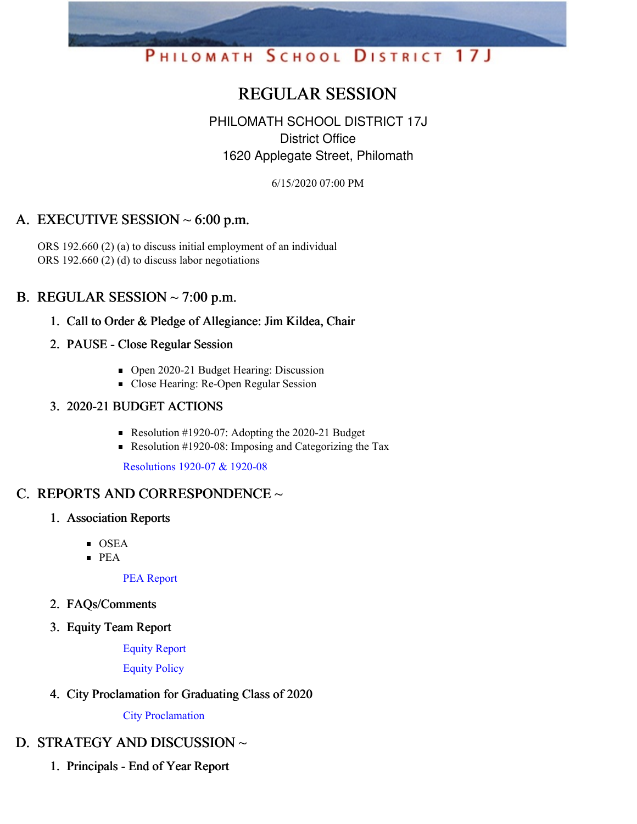# PHILOMATH SCHOOL DISTRICT 17J

# REGULAR SESSION

# PHILOMATH SCHOOL DISTRICT 17J District Office 1620 Applegate Street, Philomath

6/15/2020 07:00 PM

# A. EXECUTIVE SESSION  $\sim 6:00$  p.m.

ORS 192.660 (2) (a) to discuss initial employment of an individual ORS 192.660 (2) (d) to discuss labor negotiations

### B. REGULAR SESSION  $\sim$  7:00 p.m.

- 1. Call to Order & Pledge of Allegiance: Jim Kildea, Chair
- 2. PAUSE Close Regular Session
	- Open 2020-21 Budget Hearing: Discussion
	- Close Hearing: Re-Open Regular Session

#### 3. 2020-21 BUDGET ACTIONS

- Resolution #1920-07: Adopting the 2020-21 Budget
- Resolution #1920-08: Imposing and Categorizing the Tax

[Resolutions](https://app.eduportal.com/documents/view/757002) 1920-07 & 1920-08

# C. REPORTS AND CORRESPONDENCE ~

- 1. Association Reports
	- OSEA
	- $PEA$

PEA [Report](https://app.eduportal.com/documents/view/757010)

- 2. FAQs/Comments
- 3. Equity Team Report

Equity [Report](https://app.eduportal.com/documents/view/757011)

[Equity](https://app.eduportal.com/documents/view/757633) Policy

4. City Proclamation for Graduating Class of 2020

City [Proclamation](https://app.eduportal.com/documents/view/757220)

# D. STRATEGY AND DISCUSSION ~

1. Principals - End of Year Report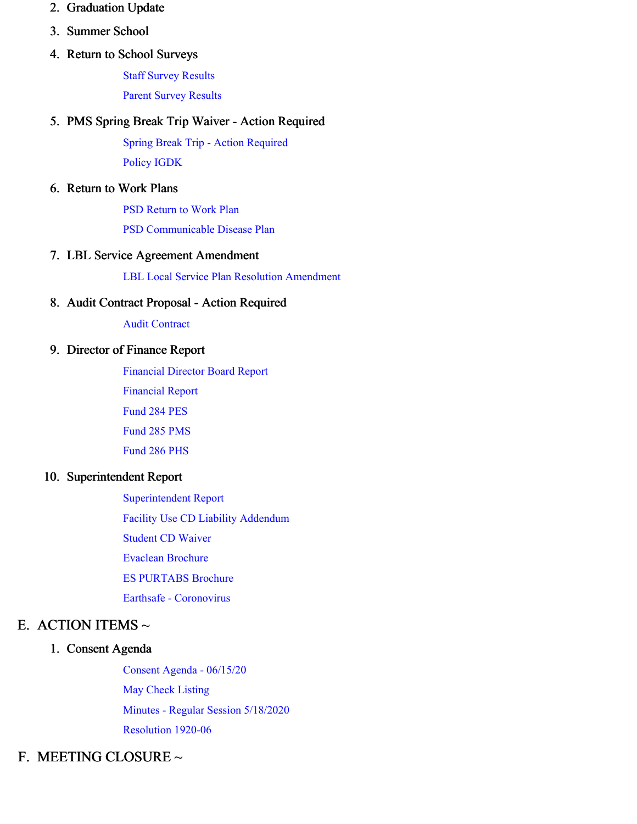- 2. Graduation Update
- 3. Summer School
- 4. Return to School Surveys

Staff Survey [Results](https://app.eduportal.com/documents/view/757004)

Parent Survey [Results](https://app.eduportal.com/documents/view/757003)

#### 5. PMS Spring Break Trip Waiver - Action Required

Spring Break Trip - Action [Required](https://app.eduportal.com/documents/view/757013) [Policy](https://app.eduportal.com/documents/view/757252) IGDK

#### 6. Return to Work Plans

PSD [Return](https://app.eduportal.com/documents/view/757016) to Work Plan

PSD [Communicable](https://app.eduportal.com/documents/view/757015) Disease Plan

#### 7. LBL Service Agreement Amendment

LBL Local Service Plan Resolution [Amendment](https://app.eduportal.com/documents/view/757021)

#### 8. Audit Contract Proposal - Action Required

Audit [Contract](https://app.eduportal.com/documents/view/757001)

#### 9. Director of Finance Report

[Financial](https://app.eduportal.com/documents/view/757018) Director Board Report

[Financial](https://app.eduportal.com/documents/view/757000) Report

[Fund](https://app.eduportal.com/documents/view/756995) 284 PES

[Fund](https://app.eduportal.com/documents/view/756991) 285 PMS

[Fund](https://app.eduportal.com/documents/view/756992) 286 PHS

#### 10. Superintendent Report

[Superintendent](https://app.eduportal.com/documents/view/757231) Report Facility Use CD Liability [Addendum](https://app.eduportal.com/documents/view/757017) [Student](https://app.eduportal.com/documents/view/757014) CD Waiver Evaclean [Brochure](https://app.eduportal.com/documents/view/757009) ES [PURTABS](https://app.eduportal.com/documents/view/757008) Brochure Earthsafe - [Coronovirus](https://app.eduportal.com/documents/view/757007)

#### E. ACTION ITEMS  $\sim$

#### 1. Consent Agenda

Consent Agenda - [06/15/20](https://app.eduportal.com/documents/view/757327) May Check [Listing](https://app.eduportal.com/documents/view/756999) Minutes - Regular Session [5/18/2020](https://app.eduportal.com/documents/view/757022) [Resolution](https://app.eduportal.com/documents/view/757012) 1920-06

### F. MEETING CLOSURE ~